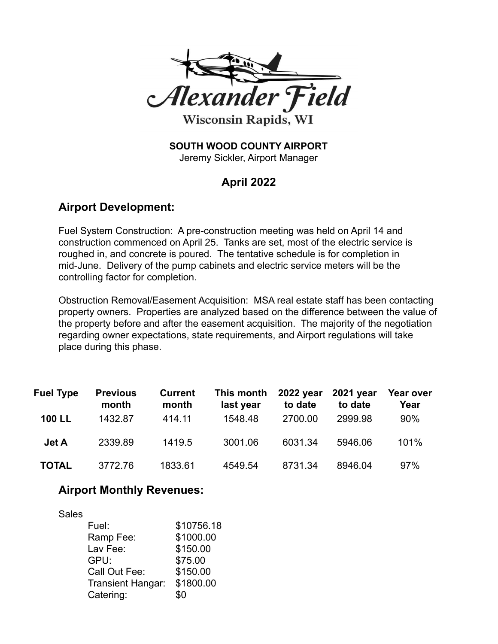

**Wisconsin Rapids, WI** 

# **SOUTH WOOD COUNTY AIRPORT**

Jeremy Sickler, Airport Manager

## **April 2022**

### **Airport Development:**

Fuel System Construction: A pre-construction meeting was held on April 14 and construction commenced on April 25. Tanks are set, most of the electric service is roughed in, and concrete is poured. The tentative schedule is for completion in mid-June. Delivery of the pump cabinets and electric service meters will be the controlling factor for completion.

Obstruction Removal/Easement Acquisition: MSA real estate staff has been contacting property owners. Properties are analyzed based on the difference between the value of the property before and after the easement acquisition. The majority of the negotiation regarding owner expectations, state requirements, and Airport regulations will take place during this phase.

| <b>Fuel Type</b> | <b>Previous</b><br>month | <b>Current</b><br>month | This month<br>last year | 2022 year<br>to date | 2021 year<br>to date | Year over<br>Year |
|------------------|--------------------------|-------------------------|-------------------------|----------------------|----------------------|-------------------|
| <b>100 LL</b>    | 1432.87                  | 414.11                  | 1548.48                 | 2700.00              | 2999.98              | 90%               |
| <b>Jet A</b>     | 2339.89                  | 1419.5                  | 3001.06                 | 6031.34              | 5946.06              | 101%              |
| <b>TOTAL</b>     | 3772.76                  | 1833.61                 | 4549.54                 | 8731.34              | 8946.04              | 97%               |

### **Airport Monthly Revenues:**

| <b>Sales</b> |                          |            |
|--------------|--------------------------|------------|
|              | Fuel:                    | \$10756.18 |
|              | Ramp Fee:                | \$1000.00  |
|              | Lav Fee:                 | \$150.00   |
|              | GPU:                     | \$75.00    |
|              | Call Out Fee:            | \$150.00   |
|              | <b>Transient Hangar:</b> | \$1800.00  |
|              | Catering:                | \$0        |